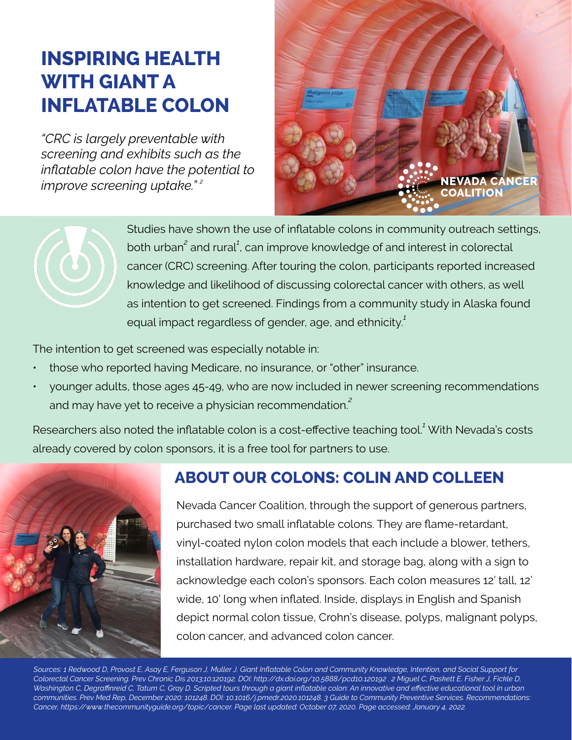# **INSPIRING HEALTH WITH GIANT A INFLATABLE COLON**

*"CRC is largely preventable with screening and exhibits such as the inflatable colon have the potential to improve screening uptake." <sup>2</sup>*





Studies have shown the use of inflatable colons in community outreach settings, both urban<sup>2</sup> and rural<sup>1</sup>, can improve knowledge of and interest in colorectal cancer (CRC) screening. After touring the colon, participants reported increased knowledge and likelihood of discussing colorectal cancer with others, as well as intention to get screened. Findings from a community study in Alaska found equal impact regardless of gender, age, and ethnicity.*<sup>1</sup>*

The intention to get screened was especially notable in:

- those who reported having Medicare, no insurance, or "other" insurance.
- younger adults, those ages 45-49, who are now included in newer screening recommendations and may have yet to receive a physician recommendation.*<sup>2</sup>*

Researchers also noted the inflatable colon is a cost-effective teaching tool.*<sup>1</sup>* With Nevada's costs already covered by colon sponsors, it is a free tool for partners to use.



### **ABOUT OUR COLONS: COLIN AND COLLEEN**

Nevada Cancer Coalition, through the support of generous partners, purchased two small inflatable colons. They are flame-retardant, vinyl-coated nylon colon models that each include a blower, tethers, installation hardware, repair kit, and storage bag, along with a sign to acknowledge each colon's sponsors. Each colon measures 12' tall, 12' wide, 10' long when inflated. Inside, displays in English and Spanish depict normal colon tissue, Crohn's disease, polyps, malignant polyps, colon cancer, and advanced colon cancer.

*Sources: 1 Redwood D, Provost E, Asay E, Ferguson J, Muller J. Giant Inflatable Colon and Community Knowledge, Intention, and Social Support for Colorectal Cancer Screening. Prev Chronic Dis 2013;10:120192. DOI: http://dx.doi.org/10.5888/pcd10.120192 . 2 Miguel C, Paskett E, Fisher J, Fickle D, Washington C, Degraffinreid C, Tatum C, Gray D. Scripted tours through a giant inflatable colon: An innovative and effective educational tool in urban communities. Prev Med Rep, December 2020: 101248. DOI: 10.1016/j.pmedr.2020.101248. 3 Guide to Community Preventive Services. Recommendations: Cancer, https://www.thecommunityguide.org/topic/cancer. Page last updated: October 07, 2020. Page accessed: January 4, 2022.*